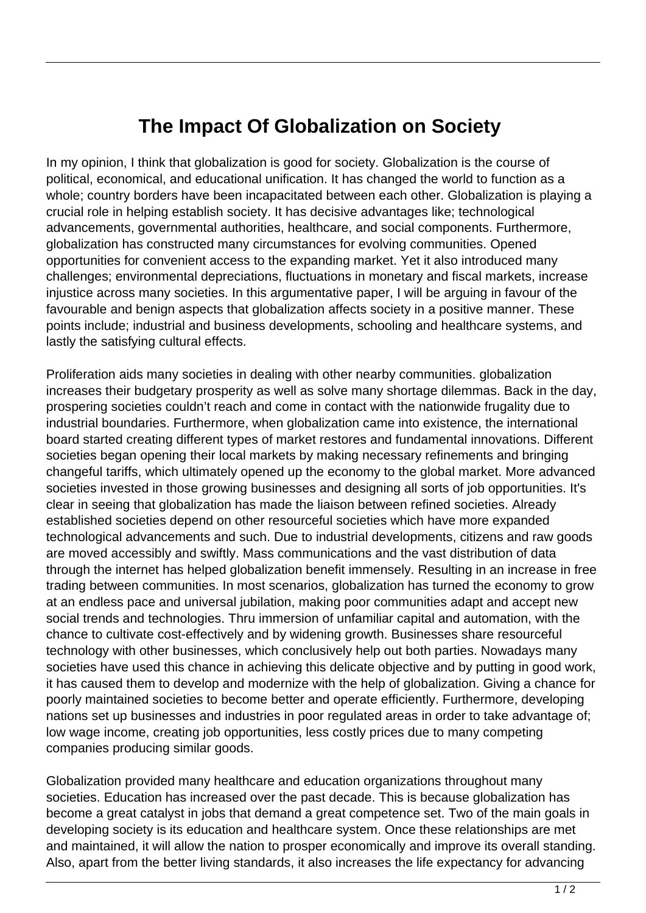## **The Impact Of Globalization on Society**

In my opinion, I think that globalization is good for society. Globalization is the course of political, economical, and educational unification. It has changed the world to function as a whole; country borders have been incapacitated between each other. Globalization is playing a crucial role in helping establish society. It has decisive advantages like; technological advancements, governmental authorities, healthcare, and social components. Furthermore, globalization has constructed many circumstances for evolving communities. Opened opportunities for convenient access to the expanding market. Yet it also introduced many challenges; environmental depreciations, fluctuations in monetary and fiscal markets, increase injustice across many societies. In this argumentative paper, I will be arguing in favour of the favourable and benign aspects that globalization affects society in a positive manner. These points include; industrial and business developments, schooling and healthcare systems, and lastly the satisfying cultural effects.

Proliferation aids many societies in dealing with other nearby communities. globalization increases their budgetary prosperity as well as solve many shortage dilemmas. Back in the day, prospering societies couldn't reach and come in contact with the nationwide frugality due to industrial boundaries. Furthermore, when globalization came into existence, the international board started creating different types of market restores and fundamental innovations. Different societies began opening their local markets by making necessary refinements and bringing changeful tariffs, which ultimately opened up the economy to the global market. More advanced societies invested in those growing businesses and designing all sorts of job opportunities. It's clear in seeing that globalization has made the liaison between refined societies. Already established societies depend on other resourceful societies which have more expanded technological advancements and such. Due to industrial developments, citizens and raw goods are moved accessibly and swiftly. Mass communications and the vast distribution of data through the internet has helped globalization benefit immensely. Resulting in an increase in free trading between communities. In most scenarios, globalization has turned the economy to grow at an endless pace and universal jubilation, making poor communities adapt and accept new social trends and technologies. Thru immersion of unfamiliar capital and automation, with the chance to cultivate cost-effectively and by widening growth. Businesses share resourceful technology with other businesses, which conclusively help out both parties. Nowadays many societies have used this chance in achieving this delicate objective and by putting in good work, it has caused them to develop and modernize with the help of globalization. Giving a chance for poorly maintained societies to become better and operate efficiently. Furthermore, developing nations set up businesses and industries in poor regulated areas in order to take advantage of; low wage income, creating job opportunities, less costly prices due to many competing companies producing similar goods.

Globalization provided many healthcare and education organizations throughout many societies. Education has increased over the past decade. This is because globalization has become a great catalyst in jobs that demand a great competence set. Two of the main goals in developing society is its education and healthcare system. Once these relationships are met and maintained, it will allow the nation to prosper economically and improve its overall standing. Also, apart from the better living standards, it also increases the life expectancy for advancing